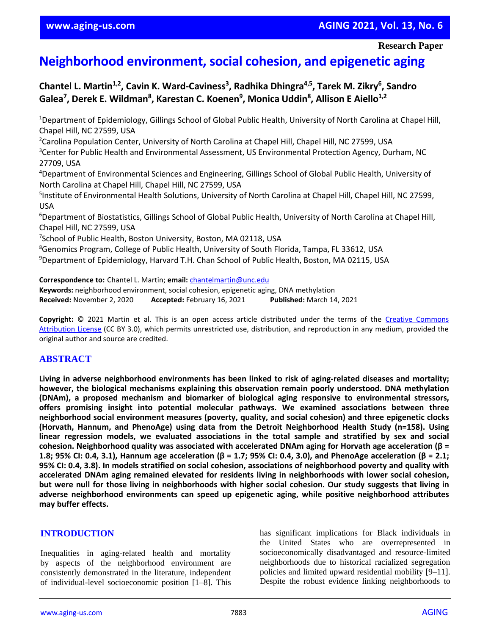# **Neighborhood environment, social cohesion, and epigenetic aging**

**Chantel L. Martin1,2, Cavin K. Ward-Caviness<sup>3</sup> , Radhika Dhingra4,5, Tarek M. Zikry<sup>6</sup> , Sandro Galea<sup>7</sup> , Derek E. Wildman<sup>8</sup> , Karestan C. Koenen<sup>9</sup> , Monica Uddin<sup>8</sup> , Allison E Aiello1,2**

<sup>1</sup>Department of Epidemiology, Gillings School of Global Public Health, University of North Carolina at Chapel Hill, Chapel Hill, NC 27599, USA

<sup>2</sup>Carolina Population Center, University of North Carolina at Chapel Hill, Chapel Hill, NC 27599, USA <sup>3</sup>Center for Public Health and Environmental Assessment, US Environmental Protection Agency, Durham, NC 27709, USA

<sup>4</sup>Department of Environmental Sciences and Engineering, Gillings School of Global Public Health, University of North Carolina at Chapel Hill, Chapel Hill, NC 27599, USA

<sup>5</sup>Institute of Environmental Health Solutions, University of North Carolina at Chapel Hill, Chapel Hill, NC 27599, USA

<sup>6</sup>Department of Biostatistics, Gillings School of Global Public Health, University of North Carolina at Chapel Hill, Chapel Hill, NC 27599, USA

7 School of Public Health, Boston University, Boston, MA 02118, USA

<sup>8</sup>Genomics Program, College of Public Health, University of South Florida, Tampa, FL 33612, USA

<sup>9</sup>Department of Epidemiology, Harvard T.H. Chan School of Public Health, Boston, MA 02115, USA

**Correspondence to:** Chantel L. Martin; **email:** [chantelmartin@unc.edu](mailto:chantelmartin@unc.edu) **Keywords:** neighborhood environment, social cohesion, epigenetic aging, DNA methylation **Received:** November 2, 2020 **Accepted:** February 16, 2021 **Published:** March 14, 2021

**Copyright:** © 2021 Martin et al. This is an open access article distributed under the terms of the [Creative Commons](https://creativecommons.org/licenses/by/3.0/)  [Attribution License](https://creativecommons.org/licenses/by/3.0/) (CC BY 3.0), which permits unrestricted use, distribution, and reproduction in any medium, provided the original author and source are credited.

# **ABSTRACT**

**Living in adverse neighborhood environments has been linked to risk of aging-related diseases and mortality; however, the biological mechanisms explaining this observation remain poorly understood. DNA methylation (DNAm), a proposed mechanism and biomarker of biological aging responsive to environmental stressors, offers promising insight into potential molecular pathways. We examined associations between three neighborhood social environment measures (poverty, quality, and social cohesion) and three epigenetic clocks (Horvath, Hannum, and PhenoAge) using data from the Detroit Neighborhood Health Study (n=158). Using linear regression models, we evaluated associations in the total sample and stratified by sex and social cohesion. Neighborhood quality was associated with accelerated DNAm aging for Horvath age acceleration (β =** 1.8; 95% CI: 0.4, 3.1), Hannum age acceleration (β = 1.7; 95% CI: 0.4, 3.0), and PhenoAge acceleration (β = 2.1; 95% CI: 0.4, 3.8). In models stratified on social cohesion, associations of neighborhood poverty and quality with **accelerated DNAm aging remained elevated for residents living in neighborhoods with lower social cohesion,** but were null for those living in neighborhoods with higher social cohesion. Our study suggests that living in **adverse neighborhood environments can speed up epigenetic aging, while positive neighborhood attributes may buffer effects.**

# **INTRODUCTION**

Inequalities in aging-related health and mortality by aspects of the neighborhood environment are consistently demonstrated in the literature, independent of individual-level socioeconomic position [1–8]. This

has significant implications for Black individuals in the United States who are overrepresented in socioeconomically disadvantaged and resource-limited neighborhoods due to historical racialized segregation policies and limited upward residential mobility [9–11]. Despite the robust evidence linking neighborhoods to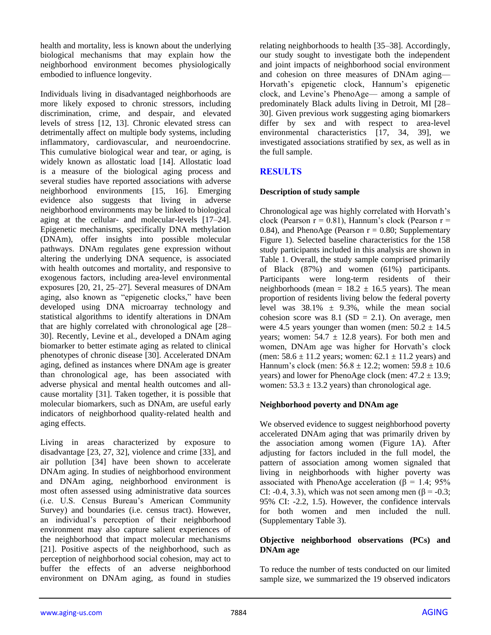health and mortality, less is known about the underlying biological mechanisms that may explain how the neighborhood environment becomes physiologically embodied to influence longevity.

Individuals living in disadvantaged neighborhoods are more likely exposed to chronic stressors, including discrimination, crime, and despair, and elevated levels of stress [12, 13]. Chronic elevated stress can detrimentally affect on multiple body systems, including inflammatory, cardiovascular, and neuroendocrine. This cumulative biological wear and tear, or aging, is widely known as allostatic load [14]. Allostatic load is a measure of the biological aging process and several studies have reported associations with adverse neighborhood environments [15, 16]. Emerging evidence also suggests that living in adverse neighborhood environments may be linked to biological aging at the cellular- and molecular-levels [17–24]. Epigenetic mechanisms, specifically DNA methylation (DNAm), offer insights into possible molecular pathways. DNAm regulates gene expression without altering the underlying DNA sequence, is associated with health outcomes and mortality, and responsive to exogenous factors, including area-level environmental exposures [20, 21, 25–27]. Several measures of DNAm aging, also known as "epigenetic clocks," have been developed using DNA microarray technology and statistical algorithms to identify alterations in DNAm that are highly correlated with chronological age [28– 30]. Recently, Levine et al., developed a DNAm aging biomarker to better estimate aging as related to clinical phenotypes of chronic disease [30]. Accelerated DNAm aging, defined as instances where DNAm age is greater than chronological age, has been associated with adverse physical and mental health outcomes and allcause mortality [31]. Taken together, it is possible that molecular biomarkers, such as DNAm, are useful early indicators of neighborhood quality-related health and aging effects.

Living in areas characterized by exposure to disadvantage [23, 27, 32], violence and crime [33], and air pollution [34] have been shown to accelerate DNAm aging. In studies of neighborhood environment and DNAm aging, neighborhood environment is most often assessed using administrative data sources (i.e. U.S. Census Bureau's American Community Survey) and boundaries (i.e. census tract). However, an individual's perception of their neighborhood environment may also capture salient experiences of the neighborhood that impact molecular mechanisms [21]. Positive aspects of the neighborhood, such as perception of neighborhood social cohesion, may act to buffer the effects of an adverse neighborhood environment on DNAm aging, as found in studies relating neighborhoods to health [35–38]. Accordingly, our study sought to investigate both the independent and joint impacts of neighborhood social environment and cohesion on three measures of DNAm aging— Horvath's epigenetic clock, Hannum's epigenetic clock, and Levine's PhenoAge— among a sample of predominately Black adults living in Detroit, MI [28– 30]. Given previous work suggesting aging biomarkers differ by sex and with respect to area-level environmental characteristics [17, 34, 39], we investigated associations stratified by sex, as well as in the full sample.

# **RESULTS**

# **Description of study sample**

Chronological age was highly correlated with Horvath's clock (Pearson  $r = 0.81$ ), Hannum's clock (Pearson  $r =$ 0.84), and PhenoAge (Pearson  $r = 0.80$ ; Supplementary Figure 1). Selected baseline characteristics for the 158 study participants included in this analysis are shown in Table 1. Overall, the study sample comprised primarily of Black (87%) and women (61%) participants. Participants were long-term residents of their neighborhoods (mean =  $18.2 \pm 16.5$  years). The mean proportion of residents living below the federal poverty level was  $38.1\% \pm 9.3\%$ , while the mean social cohesion score was  $8.1$  (SD = 2.1). On average, men were 4.5 years younger than women (men:  $50.2 \pm 14.5$ ) years; women:  $54.7 \pm 12.8$  years). For both men and women, DNAm age was higher for Horvath's clock (men:  $58.6 \pm 11.2$  years; women:  $62.1 \pm 11.2$  years) and Hannum's clock (men:  $56.8 \pm 12.2$ ; women:  $59.8 \pm 10.6$ years) and lower for PhenoAge clock (men:  $47.2 \pm 13.9$ ; women:  $53.3 \pm 13.2$  years) than chronological age.

# **Neighborhood poverty and DNAm age**

We observed evidence to suggest neighborhood poverty accelerated DNAm aging that was primarily driven by the association among women (Figure 1A). After adjusting for factors included in the full model, the pattern of association among women signaled that living in neighborhoods with higher poverty was associated with PhenoAge acceleration ( $\beta$  = 1.4; 95% CI: -0.4, 3.3), which was not seen among men ( $\beta$  = -0.3; 95% CI: -2.2, 1.5). However, the confidence intervals for both women and men included the null. (Supplementary Table 3).

# **Objective neighborhood observations (PCs) and DNAm age**

To reduce the number of tests conducted on our limited sample size, we summarized the 19 observed indicators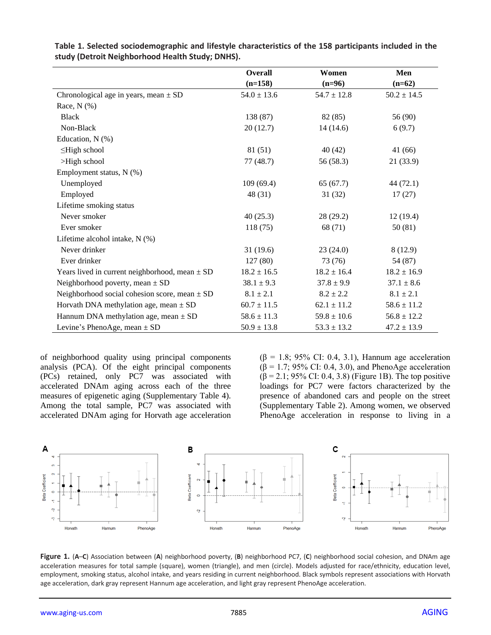|                                                    | <b>Overall</b>  | Women           | Men             |
|----------------------------------------------------|-----------------|-----------------|-----------------|
|                                                    | $(n=158)$       | $(n=96)$        | $(n=62)$        |
| Chronological age in years, mean $\pm$ SD          | $54.0 \pm 13.6$ | $54.7 \pm 12.8$ | $50.2 \pm 14.5$ |
| Race, $N$ $(\%)$                                   |                 |                 |                 |
| <b>Black</b>                                       | 138 (87)        | 82 (85)         | 56 (90)         |
| Non-Black                                          | 20(12.7)        | 14(14.6)        | 6(9.7)          |
| Education, $N$ (%)                                 |                 |                 |                 |
| $\leq$ High school                                 | 81 (51)         | 40(42)          | 41 (66)         |
| >High school                                       | 77 (48.7)       | 56 (58.3)       | 21(33.9)        |
| Employment status, N (%)                           |                 |                 |                 |
| Unemployed                                         | 109(69.4)       | 65(67.7)        | 44 (72.1)       |
| Employed                                           | 48 (31)         | 31(32)          | 17(27)          |
| Lifetime smoking status                            |                 |                 |                 |
| Never smoker                                       | 40(25.3)        | 28(29.2)        | 12(19.4)        |
| Ever smoker                                        | 118(75)         | 68 (71)         | 50(81)          |
| Lifetime alcohol intake, N (%)                     |                 |                 |                 |
| Never drinker                                      | 31(19.6)        | 23(24.0)        | 8(12.9)         |
| Ever drinker                                       | 127(80)         | 73 (76)         | 54 (87)         |
| Years lived in current neighborhood, mean $\pm$ SD | $18.2 \pm 16.5$ | $18.2 \pm 16.4$ | $18.2 \pm 16.9$ |
| Neighborhood poverty, mean $\pm$ SD                | $38.1 \pm 9.3$  | $37.8 \pm 9.9$  | $37.1 \pm 8.6$  |
| Neighborhood social cohesion score, mean $\pm$ SD  | $8.1 \pm 2.1$   | $8.2 \pm 2.2$   | $8.1 \pm 2.1$   |
| Horvath DNA methylation age, mean $\pm$ SD         | $60.7 \pm 11.5$ | $62.1 \pm 11.2$ | $58.6 \pm 11.2$ |
| Hannum DNA methylation age, mean $\pm$ SD          | $58.6 \pm 11.3$ | $59.8 \pm 10.6$ | $56.8 \pm 12.2$ |
| Levine's PhenoAge, mean $\pm$ SD                   | $50.9 \pm 13.8$ | $53.3 \pm 13.2$ | $47.2 \pm 13.9$ |

**Table 1. Selected sociodemographic and lifestyle characteristics of the 158 participants included in the study (Detroit Neighborhood Health Study; DNHS).**

of neighborhood quality using principal components analysis (PCA). Of the eight principal components (PCs) retained, only PC7 was associated with accelerated DNAm aging across each of the three measures of epigenetic aging (Supplementary Table 4). Among the total sample, PC7 was associated with accelerated DNAm aging for Horvath age acceleration ( $\beta$  = 1.8; 95% CI: 0.4, 3.1), Hannum age acceleration  $(\beta = 1.7; 95\% \text{ CI: } 0.4, 3.0)$ , and PhenoAge acceleration  $(\beta = 2.1; 95\% \text{ CI: } 0.4, 3.8)$  (Figure 1B). The top positive loadings for PC7 were factors characterized by the presence of abandoned cars and people on the street (Supplementary Table 2). Among women, we observed PhenoAge acceleration in response to living in a



**Figure 1.** (**A**–**C**) Association between (**A**) neighborhood poverty, (**B**) neighborhood PC7, (**C**) neighborhood social cohesion, and DNAm age acceleration measures for total sample (square), women (triangle), and men (circle). Models adjusted for race/ethnicity, education level, employment, smoking status, alcohol intake, and years residing in current neighborhood. Black symbols represent associations with Horvath age acceleration, dark gray represent Hannum age acceleration, and light gray represent PhenoAge acceleration.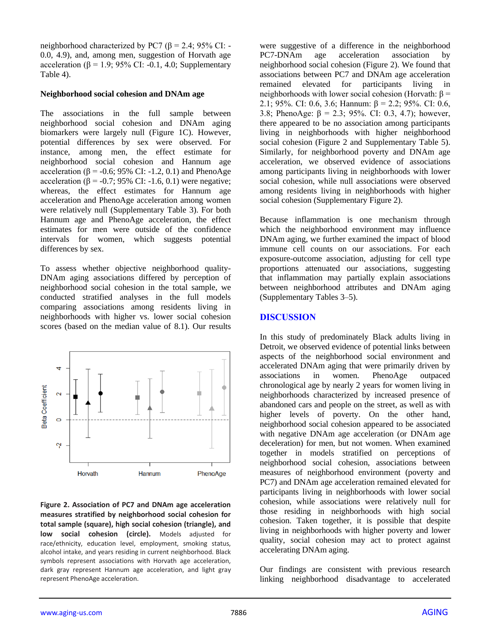neighborhood characterized by PC7 ( $\beta$  = 2.4; 95% CI: -0.0, 4.9), and, among men, suggestion of Horvath age acceleration (β = 1.9; 95% CI: -0.1, 4.0; Supplementary Table 4).

#### **Neighborhood social cohesion and DNAm age**

The associations in the full sample between neighborhood social cohesion and DNAm aging biomarkers were largely null (Figure 1C). However, potential differences by sex were observed. For instance, among men, the effect estimate for neighborhood social cohesion and Hannum age acceleration ( $β = -0.6$ ; 95% CI:  $-1.2$ , 0.1) and PhenoAge acceleration (β = -0.7; 95% CI: -1.6, 0.1) were negative; whereas, the effect estimates for Hannum age acceleration and PhenoAge acceleration among women were relatively null (Supplementary Table 3). For both Hannum age and PhenoAge acceleration, the effect estimates for men were outside of the confidence intervals for women, which suggests potential differences by sex.

To assess whether objective neighborhood quality-DNAm aging associations differed by perception of neighborhood social cohesion in the total sample, we conducted stratified analyses in the full models comparing associations among residents living in neighborhoods with higher vs. lower social cohesion scores (based on the median value of 8.1). Our results



**Figure 2. Association of PC7 and DNAm age acceleration measures stratified by neighborhood social cohesion for total sample (square), high social cohesion (triangle), and low social cohesion (circle).** Models adjusted for race/ethnicity, education level, employment, smoking status, alcohol intake, and years residing in current neighborhood. Black symbols represent associations with Horvath age acceleration, dark gray represent Hannum age acceleration, and light gray represent PhenoAge acceleration.

were suggestive of a difference in the neighborhood PC7-DNAm age acceleration association by neighborhood social cohesion (Figure 2). We found that associations between PC7 and DNAm age acceleration remained elevated for participants living in neighborhoods with lower social cohesion (Horvath: β = 2.1; 95%. CI: 0.6, 3.6; Hannum:  $\beta$  = 2.2; 95%. CI: 0.6, 3.8; PhenoAge:  $\beta = 2.3$ ; 95%. CI: 0.3, 4.7); however, there appeared to be no association among participants living in neighborhoods with higher neighborhood social cohesion (Figure 2 and Supplementary Table 5). Similarly, for neighborhood poverty and DNAm age acceleration, we observed evidence of associations among participants living in neighborhoods with lower social cohesion, while null associations were observed among residents living in neighborhoods with higher social cohesion (Supplementary Figure 2).

Because inflammation is one mechanism through which the neighborhood environment may influence DNAm aging, we further examined the impact of blood immune cell counts on our associations. For each exposure-outcome association, adjusting for cell type proportions attenuated our associations, suggesting that inflammation may partially explain associations between neighborhood attributes and DNAm aging (Supplementary Tables 3–5).

# **DISCUSSION**

In this study of predominately Black adults living in Detroit, we observed evidence of potential links between aspects of the neighborhood social environment and accelerated DNAm aging that were primarily driven by associations in women. PhenoAge outpaced chronological age by nearly 2 years for women living in neighborhoods characterized by increased presence of abandoned cars and people on the street, as well as with higher levels of poverty. On the other hand, neighborhood social cohesion appeared to be associated with negative DNAm age acceleration (or DNAm age deceleration) for men, but not women. When examined together in models stratified on perceptions of neighborhood social cohesion, associations between measures of neighborhood environment (poverty and PC7) and DNAm age acceleration remained elevated for participants living in neighborhoods with lower social cohesion, while associations were relatively null for those residing in neighborhoods with high social cohesion. Taken together, it is possible that despite living in neighborhoods with higher poverty and lower quality, social cohesion may act to protect against accelerating DNAm aging.

Our findings are consistent with previous research linking neighborhood disadvantage to accelerated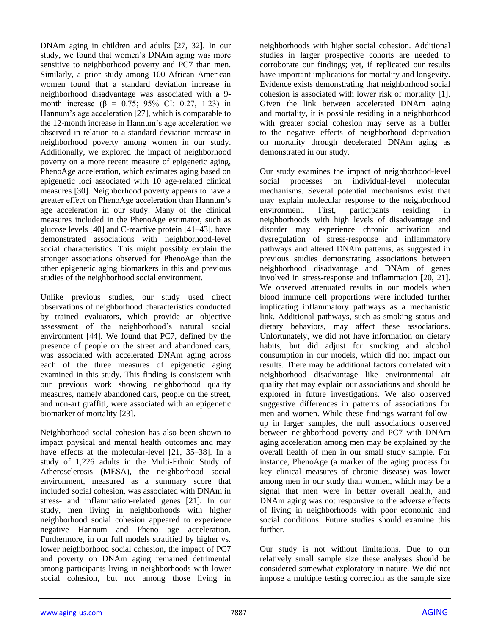DNAm aging in children and adults [27, 32]. In our study, we found that women's DNAm aging was more sensitive to neighborhood poverty and PC7 than men. Similarly, a prior study among 100 African American women found that a standard deviation increase in neighborhood disadvantage was associated with a 9 month increase ( $\beta = 0.75$ ; 95% CI: 0.27, 1.23) in Hannum's age acceleration [27], which is comparable to the 12-month increase in Hannum's age acceleration we observed in relation to a standard deviation increase in neighborhood poverty among women in our study. Additionally, we explored the impact of neighborhood poverty on a more recent measure of epigenetic aging, PhenoAge acceleration, which estimates aging based on epigenetic loci associated with 10 age-related clinical measures [30]. Neighborhood poverty appears to have a greater effect on PhenoAge acceleration than Hannum's age acceleration in our study. Many of the clinical measures included in the PhenoAge estimator, such as glucose levels [40] and C-reactive protein [41–43], have demonstrated associations with neighborhood-level social characteristics. This might possibly explain the stronger associations observed for PhenoAge than the other epigenetic aging biomarkers in this and previous studies of the neighborhood social environment.

Unlike previous studies, our study used direct observations of neighborhood characteristics conducted by trained evaluators, which provide an objective assessment of the neighborhood's natural social environment [44]. We found that PC7, defined by the presence of people on the street and abandoned cars, was associated with accelerated DNAm aging across each of the three measures of epigenetic aging examined in this study. This finding is consistent with our previous work showing neighborhood quality measures, namely abandoned cars, people on the street, and non-art graffiti, were associated with an epigenetic biomarker of mortality [23].

Neighborhood social cohesion has also been shown to impact physical and mental health outcomes and may have effects at the molecular-level [21, 35–38]. In a study of 1,226 adults in the Multi-Ethnic Study of Atherosclerosis (MESA), the neighborhood social environment, measured as a summary score that included social cohesion, was associated with DNAm in stress- and inflammation-related genes [21]. In our study, men living in neighborhoods with higher neighborhood social cohesion appeared to experience negative Hannum and Pheno age acceleration. Furthermore, in our full models stratified by higher vs. lower neighborhood social cohesion, the impact of PC7 and poverty on DNAm aging remained detrimental among participants living in neighborhoods with lower social cohesion, but not among those living in

neighborhoods with higher social cohesion. Additional studies in larger prospective cohorts are needed to corroborate our findings; yet, if replicated our results have important implications for mortality and longevity. Evidence exists demonstrating that neighborhood social cohesion is associated with lower risk of mortality [1]. Given the link between accelerated DNAm aging and mortality, it is possible residing in a neighborhood with greater social cohesion may serve as a buffer to the negative effects of neighborhood deprivation on mortality through decelerated DNAm aging as demonstrated in our study.

Our study examines the impact of neighborhood-level social processes on individual-level molecular mechanisms. Several potential mechanisms exist that may explain molecular response to the neighborhood environment. First, participants residing in neighborhoods with high levels of disadvantage and disorder may experience chronic activation and dysregulation of stress-response and inflammatory pathways and altered DNAm patterns, as suggested in previous studies demonstrating associations between neighborhood disadvantage and DNAm of genes involved in stress-response and inflammation [20, 21]. We observed attenuated results in our models when blood immune cell proportions were included further implicating inflammatory pathways as a mechanistic link. Additional pathways, such as smoking status and dietary behaviors, may affect these associations. Unfortunately, we did not have information on dietary habits, but did adjust for smoking and alcohol consumption in our models, which did not impact our results. There may be additional factors correlated with neighborhood disadvantage like environmental air quality that may explain our associations and should be explored in future investigations. We also observed suggestive differences in patterns of associations for men and women. While these findings warrant followup in larger samples, the null associations observed between neighborhood poverty and PC7 with DNAm aging acceleration among men may be explained by the overall health of men in our small study sample. For instance, PhenoAge (a marker of the aging process for key clinical measures of chronic disease) was lower among men in our study than women, which may be a signal that men were in better overall health, and DNAm aging was not responsive to the adverse effects of living in neighborhoods with poor economic and social conditions. Future studies should examine this further.

Our study is not without limitations. Due to our relatively small sample size these analyses should be considered somewhat exploratory in nature. We did not impose a multiple testing correction as the sample size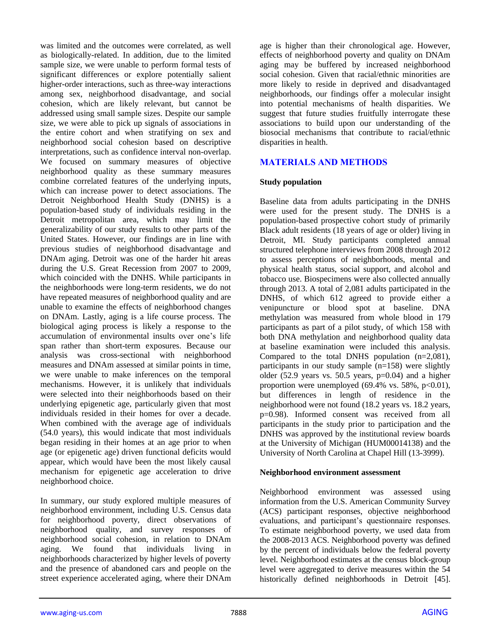was limited and the outcomes were correlated, as well as biologically-related. In addition, due to the limited sample size, we were unable to perform formal tests of significant differences or explore potentially salient higher-order interactions, such as three-way interactions among sex, neighborhood disadvantage, and social cohesion, which are likely relevant, but cannot be addressed using small sample sizes. Despite our sample size, we were able to pick up signals of associations in the entire cohort and when stratifying on sex and neighborhood social cohesion based on descriptive interpretations, such as confidence interval non-overlap. We focused on summary measures of objective neighborhood quality as these summary measures combine correlated features of the underlying inputs, which can increase power to detect associations. The Detroit Neighborhood Health Study (DNHS) is a population-based study of individuals residing in the Detroit metropolitan area, which may limit the generalizability of our study results to other parts of the United States. However, our findings are in line with previous studies of neighborhood disadvantage and DNAm aging. Detroit was one of the harder hit areas during the U.S. Great Recession from 2007 to 2009, which coincided with the DNHS. While participants in the neighborhoods were long-term residents, we do not have repeated measures of neighborhood quality and are unable to examine the effects of neighborhood changes on DNAm. Lastly, aging is a life course process. The biological aging process is likely a response to the accumulation of environmental insults over one's life span rather than short-term exposures. Because our analysis was cross-sectional with neighborhood measures and DNAm assessed at similar points in time, we were unable to make inferences on the temporal mechanisms. However, it is unlikely that individuals were selected into their neighborhoods based on their underlying epigenetic age, particularly given that most individuals resided in their homes for over a decade. When combined with the average age of individuals (54.0 years), this would indicate that most individuals began residing in their homes at an age prior to when age (or epigenetic age) driven functional deficits would appear, which would have been the most likely causal mechanism for epigenetic age acceleration to drive neighborhood choice.

In summary, our study explored multiple measures of neighborhood environment, including U.S. Census data for neighborhood poverty, direct observations of neighborhood quality, and survey responses of neighborhood social cohesion, in relation to DNAm aging. We found that individuals living in neighborhoods characterized by higher levels of poverty and the presence of abandoned cars and people on the street experience accelerated aging, where their DNAm

age is higher than their chronological age. However, effects of neighborhood poverty and quality on DNAm aging may be buffered by increased neighborhood social cohesion. Given that racial/ethnic minorities are more likely to reside in deprived and disadvantaged neighborhoods, our findings offer a molecular insight into potential mechanisms of health disparities. We suggest that future studies fruitfully interrogate these associations to build upon our understanding of the biosocial mechanisms that contribute to racial/ethnic disparities in health.

# **MATERIALS AND METHODS**

#### **Study population**

Baseline data from adults participating in the DNHS were used for the present study. The DNHS is a population-based prospective cohort study of primarily Black adult residents (18 years of age or older) living in Detroit, MI. Study participants completed annual structured telephone interviews from 2008 through 2012 to assess perceptions of neighborhoods, mental and physical health status, social support, and alcohol and tobacco use. Biospecimens were also collected annually through 2013. A total of 2,081 adults participated in the DNHS, of which 612 agreed to provide either a venipuncture or blood spot at baseline. DNA methylation was measured from whole blood in 179 participants as part of a pilot study, of which 158 with both DNA methylation and neighborhood quality data at baseline examination were included this analysis. Compared to the total DNHS population (n=2,081), participants in our study sample (n=158) were slightly older (52.9 years vs. 50.5 years,  $p=0.04$ ) and a higher proportion were unemployed  $(69.4\% \text{ vs. } 58\%, \text{ p} < 0.01)$ , but differences in length of residence in the neighborhood were not found (18.2 years vs. 18.2 years, p=0.98). Informed consent was received from all participants in the study prior to participation and the DNHS was approved by the institutional review boards at the University of Michigan (HUM00014138) and the University of North Carolina at Chapel Hill (13-3999).

#### **Neighborhood environment assessment**

Neighborhood environment was assessed using information from the U.S. American Community Survey (ACS) participant responses, objective neighborhood evaluations, and participant's questionnaire responses. To estimate neighborhood poverty, we used data from the 2008-2013 ACS. Neighborhood poverty was defined by the percent of individuals below the federal poverty level. Neighborhood estimates at the census block-group level were aggregated to derive measures within the 54 historically defined neighborhoods in Detroit [45].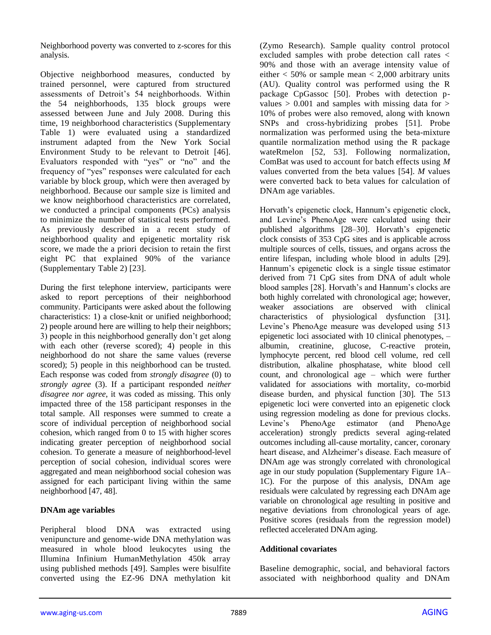Neighborhood poverty was converted to z-scores for this analysis.

Objective neighborhood measures, conducted by trained personnel, were captured from structured assessments of Detroit's 54 neighborhoods. Within the 54 neighborhoods, 135 block groups were assessed between June and July 2008. During this time, 19 neighborhood characteristics (Supplementary Table 1) were evaluated using a standardized instrument adapted from the New York Social Environment Study to be relevant to Detroit [46]. Evaluators responded with "yes" or "no" and the frequency of "yes" responses were calculated for each variable by block group, which were then averaged by neighborhood. Because our sample size is limited and we know neighborhood characteristics are correlated, we conducted a principal components (PCs) analysis to minimize the number of statistical tests performed. As previously described in a recent study of neighborhood quality and epigenetic mortality risk score, we made the a priori decision to retain the first eight PC that explained 90% of the variance (Supplementary Table 2) [23].

During the first telephone interview, participants were asked to report perceptions of their neighborhood community. Participants were asked about the following characteristics: 1) a close-knit or unified neighborhood; 2) people around here are willing to help their neighbors; 3) people in this neighborhood generally don't get along with each other (reverse scored); 4) people in this neighborhood do not share the same values (reverse scored); 5) people in this neighborhood can be trusted. Each response was coded from *strongly disagree* (0) to *strongly agree* (3). If a participant responded *neither disagree nor agree*, it was coded as missing. This only impacted three of the 158 participant responses in the total sample. All responses were summed to create a score of individual perception of neighborhood social cohesion, which ranged from 0 to 15 with higher scores indicating greater perception of neighborhood social cohesion. To generate a measure of neighborhood-level perception of social cohesion, individual scores were aggregated and mean neighborhood social cohesion was assigned for each participant living within the same neighborhood [47, 48].

# **DNAm age variables**

Peripheral blood DNA was extracted using venipuncture and genome-wide DNA methylation was measured in whole blood leukocytes using the Illumina Infinium HumanMethylation 450k array using published methods [49]. Samples were bisulfite converted using the EZ-96 DNA methylation kit (Zymo Research). Sample quality control protocol excluded samples with probe detection call rates < 90% and those with an average intensity value of either  $<$  50% or sample mean  $<$  2,000 arbitrary units (AU). Quality control was performed using the R package CpGassoc [50]. Probes with detection pvalues  $> 0.001$  and samples with missing data for  $>$ 10% of probes were also removed, along with known SNPs and cross-hybridizing probes [51]. Probe normalization was performed using the beta-mixture quantile normalization method using the R package wateRmelon [52, 53]. Following normalization, ComBat was used to account for batch effects using *M*  values converted from the beta values [54]. *M* values were converted back to beta values for calculation of DNAm age variables.

Horvath's epigenetic clock, Hannum's epigenetic clock, and Levine's PhenoAge were calculated using their published algorithms [28–30]. Horvath's epigenetic clock consists of 353 CpG sites and is applicable across multiple sources of cells, tissues, and organs across the entire lifespan, including whole blood in adults [29]. Hannum's epigenetic clock is a single tissue estimator derived from 71 CpG sites from DNA of adult whole blood samples [28]. Horvath's and Hannum's clocks are both highly correlated with chronological age; however, weaker associations are observed with clinical characteristics of physiological dysfunction [31]. Levine's PhenoAge measure was developed using 513 epigenetic loci associated with 10 clinical phenotypes, – albumin, creatinine, glucose, C-reactive protein, lymphocyte percent, red blood cell volume, red cell distribution, alkaline phosphatase, white blood cell count, and chronological age – which were further validated for associations with mortality, co-morbid disease burden, and physical function [30]. The 513 epigenetic loci were converted into an epigenetic clock using regression modeling as done for previous clocks. Levine's PhenoAge estimator (and PhenoAge acceleration) strongly predicts several aging-related outcomes including all-cause mortality, cancer, coronary heart disease, and Alzheimer's disease. Each measure of DNAm age was strongly correlated with chronological age in our study population (Supplementary Figure 1A– 1C). For the purpose of this analysis, DNAm age residuals were calculated by regressing each DNAm age variable on chronological age resulting in positive and negative deviations from chronological years of age. Positive scores (residuals from the regression model) reflected accelerated DNAm aging.

# **Additional covariates**

Baseline demographic, social, and behavioral factors associated with neighborhood quality and DNAm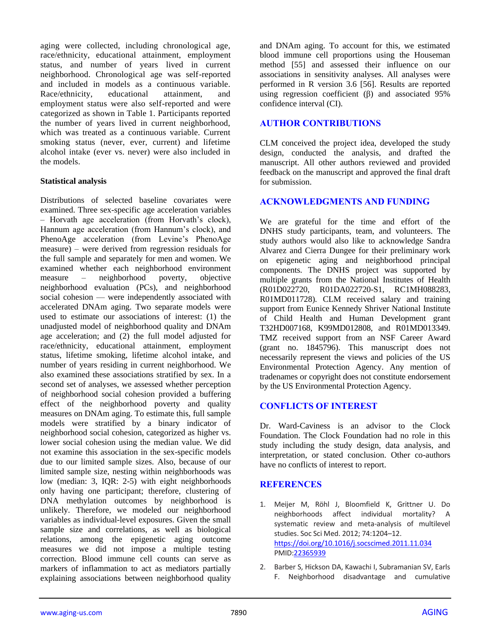aging were collected, including chronological age, race/ethnicity, educational attainment, employment status, and number of years lived in current neighborhood. Chronological age was self-reported and included in models as a continuous variable. Race/ethnicity, educational attainment, and employment status were also self-reported and were categorized as shown in Table 1. Participants reported the number of years lived in current neighborhood, which was treated as a continuous variable. Current smoking status (never, ever, current) and lifetime alcohol intake (ever vs. never) were also included in the models.

# **Statistical analysis**

Distributions of selected baseline covariates were examined. Three sex-specific age acceleration variables – Horvath age acceleration (from Horvath's clock), Hannum age acceleration (from Hannum's clock), and PhenoAge acceleration (from Levine's PhenoAge measure) – were derived from regression residuals for the full sample and separately for men and women. We examined whether each neighborhood environment measure – neighborhood poverty, objective neighborhood evaluation (PCs), and neighborhood social cohesion — were independently associated with accelerated DNAm aging. Two separate models were used to estimate our associations of interest: (1) the unadjusted model of neighborhood quality and DNAm age acceleration; and (2) the full model adjusted for race/ethnicity, educational attainment, employment status, lifetime smoking, lifetime alcohol intake, and number of years residing in current neighborhood. We also examined these associations stratified by sex. In a second set of analyses, we assessed whether perception of neighborhood social cohesion provided a buffering effect of the neighborhood poverty and quality measures on DNAm aging. To estimate this, full sample models were stratified by a binary indicator of neighborhood social cohesion, categorized as higher vs. lower social cohesion using the median value. We did not examine this association in the sex-specific models due to our limited sample sizes. Also, because of our limited sample size, nesting within neighborhoods was low (median: 3, IQR: 2-5) with eight neighborhoods only having one participant; therefore, clustering of DNA methylation outcomes by neighborhood is unlikely. Therefore, we modeled our neighborhood variables as individual-level exposures. Given the small sample size and correlations, as well as biological relations, among the epigenetic aging outcome measures we did not impose a multiple testing correction. Blood immune cell counts can serve as markers of inflammation to act as mediators partially explaining associations between neighborhood quality

and DNAm aging. To account for this, we estimated blood immune cell proportions using the Houseman method [55] and assessed their influence on our associations in sensitivity analyses. All analyses were performed in R version 3.6 [56]. Results are reported using regression coefficient  $(\beta)$  and associated 95% confidence interval (CI).

# **AUTHOR CONTRIBUTIONS**

CLM conceived the project idea, developed the study design, conducted the analysis, and drafted the manuscript. All other authors reviewed and provided feedback on the manuscript and approved the final draft for submission.

# **ACKNOWLEDGMENTS AND FUNDING**

We are grateful for the time and effort of the DNHS study participants, team, and volunteers. The study authors would also like to acknowledge Sandra Alvarez and Cierra Dungee for their preliminary work on epigenetic aging and neighborhood principal components. The DNHS project was supported by multiple grants from the National Institutes of Health (R01D022720, R01DA022720-S1, RC1MH088283, R01MD011728). CLM received salary and training support from Eunice Kennedy Shriver National Institute of Child Health and Human Development grant T32HD007168, K99MD012808, and R01MD013349. TMZ received support from an NSF Career Award (grant no. 1845796). This manuscript does not necessarily represent the views and policies of the US Environmental Protection Agency. Any mention of tradenames or copyright does not constitute endorsement by the US Environmental Protection Agency.

# **CONFLICTS OF INTEREST**

Dr. Ward-Caviness is an advisor to the Clock Foundation. The Clock Foundation had no role in this study including the study design, data analysis, and interpretation, or stated conclusion. Other co-authors have no conflicts of interest to report.

# **REFERENCES**

- 1. Meijer M, Röhl J, Bloomfield K, Grittner U. Do neighborhoods affect individual mortality? A systematic review and meta-analysis of multilevel studies. Soc Sci Med. 2012; 74:1204–12. <https://doi.org/10.1016/j.socscimed.2011.11.034> PMI[D:22365939](https://pubmed.ncbi.nlm.nih.gov/22365939)
- 2. Barber S, Hickson DA, Kawachi I, Subramanian SV, Earls F. Neighborhood disadvantage and cumulative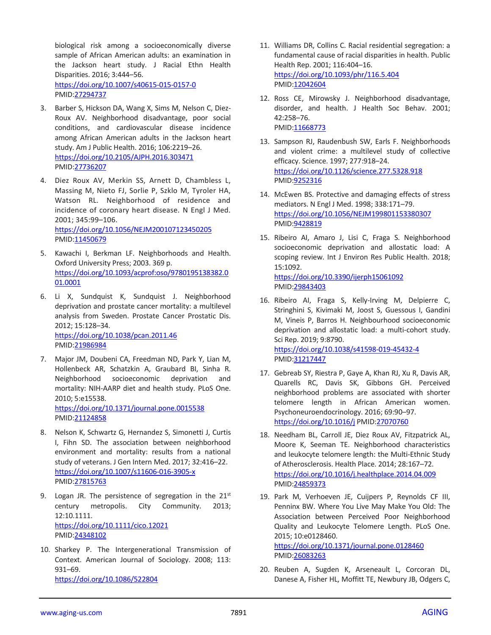biological risk among a socioeconomically diverse sample of African American adults: an examination in the Jackson heart study. J Racial Ethn Health Disparities. 2016; 3:444–56. <https://doi.org/10.1007/s40615-015-0157-0> PMID[:27294737](https://pubmed.ncbi.nlm.nih.gov/27294737)

- 3. Barber S, Hickson DA, Wang X, Sims M, Nelson C, Diez-Roux AV. Neighborhood disadvantage, poor social conditions, and cardiovascular disease incidence among African American adults in the Jackson heart study. Am J Public Health. 2016; 106:2219–26. <https://doi.org/10.2105/AJPH.2016.303471> PMID[:27736207](https://pubmed.ncbi.nlm.nih.gov/27736207)
- 4. Diez Roux AV, Merkin SS, Arnett D, Chambless L, Massing M, Nieto FJ, Sorlie P, Szklo M, Tyroler HA, Watson RL. Neighborhood of residence and incidence of coronary heart disease. N Engl J Med. 2001; 345:99–106. <https://doi.org/10.1056/NEJM200107123450205> PMID[:11450679](https://pubmed.ncbi.nlm.nih.gov/11450679)
- 5. Kawachi I, Berkman LF. Neighborhoods and Health. Oxford University Press; 2003. 369 p. [https://doi.org/10.1093/acprof:oso/9780195138382.0](https://doi.org/10.1093/acprof:oso/9780195138382.001.0001) [01.0001](https://doi.org/10.1093/acprof:oso/9780195138382.001.0001)
- 6. Li X, Sundquist K, Sundquist J. Neighborhood deprivation and prostate cancer mortality: a multilevel analysis from Sweden. Prostate Cancer Prostatic Dis. 2012; 15:128–34. <https://doi.org/10.1038/pcan.2011.46> PMID[:21986984](https://pubmed.ncbi.nlm.nih.gov/21986984)
- 7. Major JM, Doubeni CA, Freedman ND, Park Y, Lian M, Hollenbeck AR, Schatzkin A, Graubard BI, Sinha R. Neighborhood socioeconomic deprivation and mortality: NIH-AARP diet and health study. PLoS One. 2010; 5:e15538. <https://doi.org/10.1371/journal.pone.0015538> PMID[:21124858](https://pubmed.ncbi.nlm.nih.gov/21124858)
- 8. Nelson K, Schwartz G, Hernandez S, Simonetti J, Curtis I, Fihn SD. The association between neighborhood environment and mortality: results from a national study of veterans. J Gen Intern Med. 2017; 32:416–22. <https://doi.org/10.1007/s11606-016-3905-x> PMID[:27815763](https://pubmed.ncbi.nlm.nih.gov/27815763)
- 9. Logan JR. The persistence of segregation in the  $21<sup>st</sup>$ century metropolis. City Community. 2013; 12:10.1111. <https://doi.org/10.1111/cico.12021> PMID[:24348102](https://pubmed.ncbi.nlm.nih.gov/24348102)
- 10. Sharkey P. The Intergenerational Transmission of Context. American Journal of Sociology. 2008; 113: 931–69. <https://doi.org/10.1086/522804>
- 11. Williams DR, Collins C. Racial residential segregation: a fundamental cause of racial disparities in health. Public Health Rep. 2001; 116:404–16. <https://doi.org/10.1093/phr/116.5.404> PMI[D:12042604](https://pubmed.ncbi.nlm.nih.gov/12042604)
- 12. Ross CE, Mirowsky J. Neighborhood disadvantage, disorder, and health. J Health Soc Behav. 2001; 42:258–76. PMID: 11668773
- 13. Sampson RJ, Raudenbush SW, Earls F. Neighborhoods and violent crime: a multilevel study of collective efficacy. Science. 1997; 277:918–24. <https://doi.org/10.1126/science.277.5328.918> PMI[D:9252316](https://pubmed.ncbi.nlm.nih.gov/9252316)
- 14. McEwen BS. Protective and damaging effects of stress mediators. N Engl J Med. 1998; 338:171–79. <https://doi.org/10.1056/NEJM199801153380307> PMI[D:9428819](https://pubmed.ncbi.nlm.nih.gov/9428819)
- 15. Ribeiro AI, Amaro J, Lisi C, Fraga S. Neighborhood socioeconomic deprivation and allostatic load: A scoping review. Int J Environ Res Public Health. 2018; 15:1092. <https://doi.org/10.3390/ijerph15061092> PMI[D:29843403](https://pubmed.ncbi.nlm.nih.gov/29843403)
- 16. Ribeiro AI, Fraga S, Kelly-Irving M, Delpierre C, Stringhini S, Kivimaki M, Joost S, Guessous I, Gandini M, Vineis P, Barros H. Neighbourhood socioeconomic deprivation and allostatic load: a multi-cohort study. Sci Rep. 2019; 9:8790. <https://doi.org/10.1038/s41598-019-45432-4>
	- PMI[D:31217447](https://pubmed.ncbi.nlm.nih.gov/31217447)
- 17. Gebreab SY, Riestra P, Gaye A, Khan RJ, Xu R, Davis AR, Quarells RC, Davis SK, Gibbons GH. Perceived neighborhood problems are associated with shorter telomere length in African American women. Psychoneuroendocrinology. 2016; 69:90–97. <https://doi.org/10.1016/j> PMI[D:27070760](https://pubmed.ncbi.nlm.nih.gov/27070760)
- 18. Needham BL, Carroll JE, Diez Roux AV, Fitzpatrick AL, Moore K, Seeman TE. Neighborhood characteristics and leukocyte telomere length: the Multi-Ethnic Study of Atherosclerosis. Health Place. 2014; 28:167–72. <https://doi.org/10.1016/j.healthplace.2014.04.009> PMI[D:24859373](https://pubmed.ncbi.nlm.nih.gov/24859373)
- 19. Park M, Verhoeven JE, Cuijpers P, Reynolds CF III, Penninx BW. Where You Live May Make You Old: The Association between Perceived Poor Neighborhood Quality and Leukocyte Telomere Length. PLoS One. 2015; 10:e0128460.

<https://doi.org/10.1371/journal.pone.0128460> PMI[D:26083263](https://pubmed.ncbi.nlm.nih.gov/26083263)

20. Reuben A, Sugden K, Arseneault L, Corcoran DL, Danese A, Fisher HL, Moffitt TE, Newbury JB, Odgers C,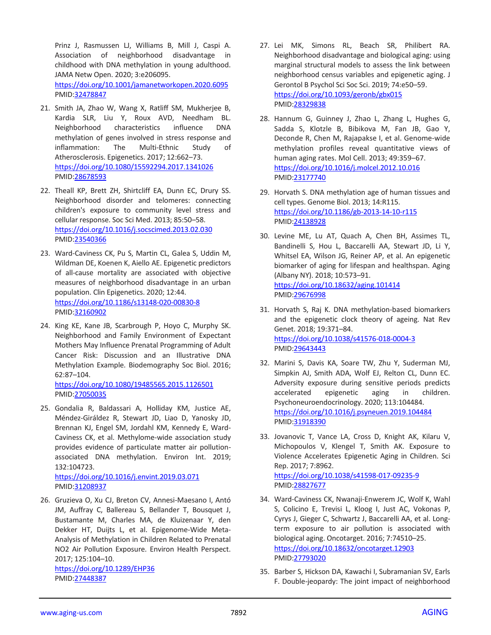Prinz J, Rasmussen LJ, Williams B, Mill J, Caspi A. Association of neighborhood disadvantage in childhood with DNA methylation in young adulthood. JAMA Netw Open. 2020; 3:e206095. <https://doi.org/10.1001/jamanetworkopen.2020.6095> PMID[:32478847](https://pubmed.ncbi.nlm.nih.gov/32478847)

- 21. Smith JA, Zhao W, Wang X, Ratliff SM, Mukherjee B, Kardia SLR, Liu Y, Roux AVD, Needham BL. Neighborhood characteristics influence DNA methylation of genes involved in stress response and inflammation: The Multi-Ethnic Study of Atherosclerosis. Epigenetics. 2017; 12:662–73. <https://doi.org/10.1080/15592294.2017.1341026> PMID[:28678593](https://pubmed.ncbi.nlm.nih.gov/28678593/)
- 22. Theall KP, Brett ZH, Shirtcliff EA, Dunn EC, Drury SS. Neighborhood disorder and telomeres: connecting children's exposure to community level stress and cellular response. Soc Sci Med. 2013; 85:50–58. <https://doi.org/10.1016/j.socscimed.2013.02.030> PMID[:23540366](https://pubmed.ncbi.nlm.nih.gov/23540366)
- 23. Ward-Caviness CK, Pu S, Martin CL, Galea S, Uddin M, Wildman DE, Koenen K, Aiello AE. Epigenetic predictors of all-cause mortality are associated with objective measures of neighborhood disadvantage in an urban population. Clin Epigenetics. 2020; 12:44. <https://doi.org/10.1186/s13148-020-00830-8> PMID[:32160902](https://pubmed.ncbi.nlm.nih.gov/32160902)
- 24. King KE, Kane JB, Scarbrough P, Hoyo C, Murphy SK. Neighborhood and Family Environment of Expectant Mothers May Influence Prenatal Programming of Adult Cancer Risk: Discussion and an Illustrative DNA Methylation Example. Biodemography Soc Biol. 2016; 62:87–104.

<https://doi.org/10.1080/19485565.2015.1126501> PMID[:27050035](https://pubmed.ncbi.nlm.nih.gov/27050035)

25. Gondalia R, Baldassari A, Holliday KM, Justice AE, Méndez-Giráldez R, Stewart JD, Liao D, Yanosky JD, Brennan KJ, Engel SM, Jordahl KM, Kennedy E, Ward-Caviness CK, et al. Methylome-wide association study provides evidence of particulate matter air pollutionassociated DNA methylation. Environ Int. 2019; 132:104723.

<https://doi.org/10.1016/j.envint.2019.03.071> PMID[:31208937](https://pubmed.ncbi.nlm.nih.gov/31208937)

26. Gruzieva O, Xu CJ, Breton CV, Annesi-Maesano I, Antó JM, Auffray C, Ballereau S, Bellander T, Bousquet J, Bustamante M, Charles MA, de Kluizenaar Y, den Dekker HT, Duijts L, et al. Epigenome-Wide Meta-Analysis of Methylation in Children Related to Prenatal NO2 Air Pollution Exposure. Environ Health Perspect. 2017; 125:104–10. <https://doi.org/10.1289/EHP36> PMID[:27448387](https://pubmed.ncbi.nlm.nih.gov/27448387)

- 27. Lei MK, Simons RL, Beach SR, Philibert RA. Neighborhood disadvantage and biological aging: using marginal structural models to assess the link between neighborhood census variables and epigenetic aging. J Gerontol B Psychol Sci Soc Sci. 2019; 74:e50–59. <https://doi.org/10.1093/geronb/gbx015> PMI[D:28329838](https://pubmed.ncbi.nlm.nih.gov/28329838)
- 28. Hannum G, Guinney J, Zhao L, Zhang L, Hughes G, Sadda S, Klotzle B, Bibikova M, Fan JB, Gao Y, Deconde R, Chen M, Rajapakse I, et al. Genome-wide methylation profiles reveal quantitative views of human aging rates. Mol Cell. 2013; 49:359–67. <https://doi.org/10.1016/j.molcel.2012.10.016> PMI[D:23177740](https://pubmed.ncbi.nlm.nih.gov/23177740)
- 29. Horvath S. DNA methylation age of human tissues and cell types. Genome Biol. 2013; 14:R115. <https://doi.org/10.1186/gb-2013-14-10-r115> PMI[D:24138928](https://pubmed.ncbi.nlm.nih.gov/24138928)
- 30. Levine ME, Lu AT, Quach A, Chen BH, Assimes TL, Bandinelli S, Hou L, Baccarelli AA, Stewart JD, Li Y, Whitsel EA, Wilson JG, Reiner AP, et al. An epigenetic biomarker of aging for lifespan and healthspan. Aging (Albany NY). 2018; 10:573–91. <https://doi.org/10.18632/aging.101414> PMI[D:29676998](https://pubmed.ncbi.nlm.nih.gov/29676998)
- 31. Horvath S, Raj K. DNA methylation-based biomarkers and the epigenetic clock theory of ageing. Nat Rev Genet. 2018; 19:371–84. <https://doi.org/10.1038/s41576-018-0004-3> PMI[D:29643443](https://pubmed.ncbi.nlm.nih.gov/29643443)
- 32. Marini S, Davis KA, Soare TW, Zhu Y, Suderman MJ, Simpkin AJ, Smith ADA, Wolf EJ, Relton CL, Dunn EC. Adversity exposure during sensitive periods predicts accelerated epigenetic aging in children. Psychoneuroendocrinology. 2020; 113:104484. <https://doi.org/10.1016/j.psyneuen.2019.104484> PMI[D:31918390](https://pubmed.ncbi.nlm.nih.gov/31918390)
- 33. Jovanovic T, Vance LA, Cross D, Knight AK, Kilaru V, Michopoulos V, Klengel T, Smith AK. Exposure to Violence Accelerates Epigenetic Aging in Children. Sci Rep. 2017; 7:8962. <https://doi.org/10.1038/s41598-017-09235-9> PMI[D:28827677](https://pubmed.ncbi.nlm.nih.gov/28827677)
- 34. Ward-Caviness CK, Nwanaji-Enwerem JC, Wolf K, Wahl S, Colicino E, Trevisi L, Kloog I, Just AC, Vokonas P, Cyrys J, Gieger C, Schwartz J, Baccarelli AA, et al. Longterm exposure to air pollution is associated with biological aging. Oncotarget. 2016; 7:74510–25. <https://doi.org/10.18632/oncotarget.12903> PMI[D:27793020](https://pubmed.ncbi.nlm.nih.gov/27793020)
- 35. Barber S, Hickson DA, Kawachi I, Subramanian SV, Earls F. Double-jeopardy: The joint impact of neighborhood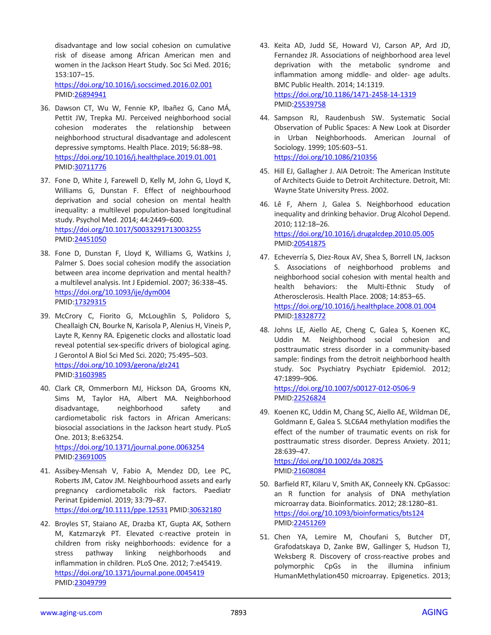disadvantage and low social cohesion on cumulative risk of disease among African American men and women in the Jackson Heart Study. Soc Sci Med. 2016; 153:107–15.

<https://doi.org/10.1016/j.socscimed.2016.02.001> PMID[:26894941](https://pubmed.ncbi.nlm.nih.gov/26894941)

- 36. Dawson CT, Wu W, Fennie KP, Ibañez G, Cano MÁ, Pettit JW, Trepka MJ. Perceived neighborhood social cohesion moderates the relationship between neighborhood structural disadvantage and adolescent depressive symptoms. Health Place. 2019; 56:88–98. <https://doi.org/10.1016/j.healthplace.2019.01.001> PMID[:30711776](https://pubmed.ncbi.nlm.nih.gov/30711776)
- 37. Fone D, White J, Farewell D, Kelly M, John G, Lloyd K, Williams G, Dunstan F. Effect of neighbourhood deprivation and social cohesion on mental health inequality: a multilevel population-based longitudinal study. Psychol Med. 2014; 44:2449–600. <https://doi.org/10.1017/S0033291713003255> PMID[:24451050](https://pubmed.ncbi.nlm.nih.gov/24451050)
- 38. Fone D, Dunstan F, Lloyd K, Williams G, Watkins J, Palmer S. Does social cohesion modify the association between area income deprivation and mental health? a multilevel analysis. Int J Epidemiol. 2007; 36:338–45. <https://doi.org/10.1093/ije/dym004> PMID[:17329315](https://pubmed.ncbi.nlm.nih.gov/17329315)
- 39. McCrory C, Fiorito G, McLoughlin S, Polidoro S, Cheallaigh CN, Bourke N, Karisola P, Alenius H, Vineis P, Layte R, Kenny RA. Epigenetic clocks and allostatic load reveal potential sex-specific drivers of biological aging. J Gerontol A Biol Sci Med Sci. 2020; 75:495–503. <https://doi.org/10.1093/gerona/glz241> PMID[:31603985](https://pubmed.ncbi.nlm.nih.gov/31603985)
- 40. Clark CR, Ommerborn MJ, Hickson DA, Grooms KN, Sims M, Taylor HA, Albert MA. Neighborhood disadvantage, neighborhood safety and cardiometabolic risk factors in African Americans: biosocial associations in the Jackson heart study. PLoS One. 2013; 8:e63254. <https://doi.org/10.1371/journal.pone.0063254> PMID[:23691005](https://pubmed.ncbi.nlm.nih.gov/23691005)
- 41. Assibey-Mensah V, Fabio A, Mendez DD, Lee PC, Roberts JM, Catov JM. Neighbourhood assets and early pregnancy cardiometabolic risk factors. Paediatr Perinat Epidemiol. 2019; 33:79–87. <https://doi.org/10.1111/ppe.12531> PMID[:30632180](https://pubmed.ncbi.nlm.nih.gov/30632180)
- 42. Broyles ST, Staiano AE, Drazba KT, Gupta AK, Sothern M, Katzmarzyk PT. Elevated c-reactive protein in children from risky neighborhoods: evidence for a stress pathway linking neighborhoods and inflammation in children. PLoS One. 2012; 7:e45419. <https://doi.org/10.1371/journal.pone.0045419> PMID[:23049799](https://pubmed.ncbi.nlm.nih.gov/23049799)
- 43. Keita AD, Judd SE, Howard VJ, Carson AP, Ard JD, Fernandez JR. Associations of neighborhood area level deprivation with the metabolic syndrome and inflammation among middle- and older- age adults. BMC Public Health. 2014; 14:1319. <https://doi.org/10.1186/1471-2458-14-1319> PMI[D:25539758](https://pubmed.ncbi.nlm.nih.gov/25539758)
- 44. Sampson RJ, Raudenbush SW. Systematic Social Observation of Public Spaces: A New Look at Disorder in Urban Neighborhoods. American Journal of Sociology. 1999; 105:603–51. <https://doi.org/10.1086/210356>
- 45. Hill EJ, Gallagher J. AIA Detroit: The American Institute of Architects Guide to Detroit Architecture. Detroit, MI: Wayne State University Press. 2002.
- 46. Lê F, Ahern J, Galea S. Neighborhood education inequality and drinking behavior. Drug Alcohol Depend. 2010; 112:18–26. <https://doi.org/10.1016/j.drugalcdep.2010.05.005> PMI[D:20541875](https://pubmed.ncbi.nlm.nih.gov/20541875)
- 47. Echeverría S, Diez-Roux AV, Shea S, Borrell LN, Jackson S. Associations of neighborhood problems and neighborhood social cohesion with mental health and health behaviors: the Multi-Ethnic Study of Atherosclerosis. Health Place. 2008; 14:853–65. <https://doi.org/10.1016/j.healthplace.2008.01.004> PMI[D:18328772](https://pubmed.ncbi.nlm.nih.gov/18328772)
- 48. Johns LE, Aiello AE, Cheng C, Galea S, Koenen KC, Uddin M. Neighborhood social cohesion and posttraumatic stress disorder in a community-based sample: findings from the detroit neighborhood health study. Soc Psychiatry Psychiatr Epidemiol. 2012; 47:1899–906.

<https://doi.org/10.1007/s00127-012-0506-9> PMI[D:22526824](https://pubmed.ncbi.nlm.nih.gov/22526824)

49. Koenen KC, Uddin M, Chang SC, Aiello AE, Wildman DE, Goldmann E, Galea S. SLC6A4 methylation modifies the effect of the number of traumatic events on risk for posttraumatic stress disorder. Depress Anxiety. 2011; 28:639–47. <https://doi.org/10.1002/da.20825>

PMI[D:21608084](https://pubmed.ncbi.nlm.nih.gov/21608084)

- 50. Barfield RT, Kilaru V, Smith AK, Conneely KN. CpGassoc: an R function for analysis of DNA methylation microarray data. Bioinformatics. 2012; 28:1280–81. <https://doi.org/10.1093/bioinformatics/bts124> PMI[D:22451269](https://pubmed.ncbi.nlm.nih.gov/22451269)
- 51. Chen YA, Lemire M, Choufani S, Butcher DT, Grafodatskaya D, Zanke BW, Gallinger S, Hudson TJ, Weksberg R. Discovery of cross-reactive probes and polymorphic CpGs in the illumina infinium HumanMethylation450 microarray. Epigenetics. 2013;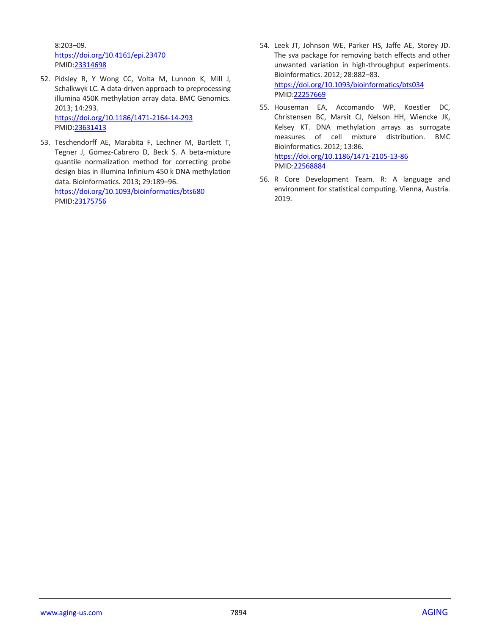8:203–09. <https://doi.org/10.4161/epi.23470> PMID[:23314698](https://pubmed.ncbi.nlm.nih.gov/23314698)

52. Pidsley R, Y Wong CC, Volta M, Lunnon K, Mill J, Schalkwyk LC. A data-driven approach to preprocessing illumina 450K methylation array data. BMC Genomics. 2013; 14:293. <https://doi.org/10.1186/1471-2164-14-293>

PMID[:23631413](https://pubmed.ncbi.nlm.nih.gov/23631413)

53. Teschendorff AE, Marabita F, Lechner M, Bartlett T, Tegner J, Gomez-Cabrero D, Beck S. A beta-mixture quantile normalization method for correcting probe design bias in Illumina Infinium 450 k DNA methylation data. Bioinformatics. 2013; 29:189–96.

<https://doi.org/10.1093/bioinformatics/bts680> PMID[:23175756](https://pubmed.ncbi.nlm.nih.gov/23175756)

- 54. Leek JT, Johnson WE, Parker HS, Jaffe AE, Storey JD. The sva package for removing batch effects and other unwanted variation in high-throughput experiments. Bioinformatics. 2012; 28:882–83. <https://doi.org/10.1093/bioinformatics/bts034> PMI[D:22257669](https://pubmed.ncbi.nlm.nih.gov/22257669)
- 55. Houseman EA, Accomando WP, Koestler DC, Christensen BC, Marsit CJ, Nelson HH, Wiencke JK, Kelsey KT. DNA methylation arrays as surrogate measures of cell mixture distribution. BMC Bioinformatics. 2012; 13:86. <https://doi.org/10.1186/1471-2105-13-86> PMI[D:22568884](https://pubmed.ncbi.nlm.nih.gov/22568884)
- 56. R Core Development Team. R: A language and environment for statistical computing. Vienna, Austria. 2019.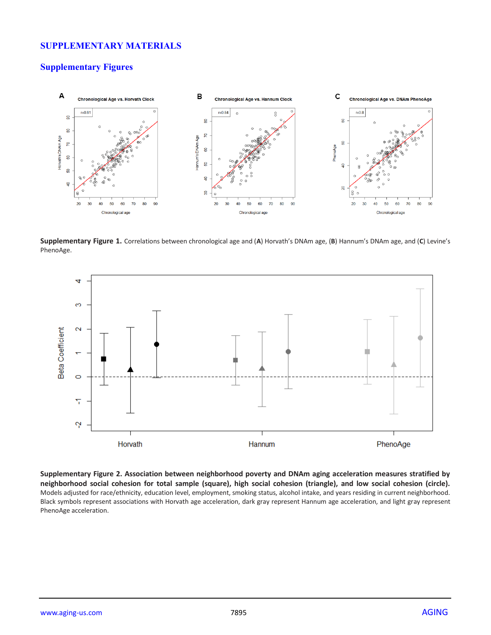# **SUPPLEMENTARY MATERIALS**

# **Supplementary Figures**



**Supplementary Figure 1.** Correlations between chronological age and (**A**) Horvath's DNAm age, (**B**) Hannum's DNAm age, and (**C**) Levine's PhenoAge.



**Supplementary Figure 2. Association between neighborhood poverty and DNAm aging acceleration measures stratified by neighborhood social cohesion for total sample (square), high social cohesion (triangle), and low social cohesion (circle).**  Models adjusted for race/ethnicity, education level, employment, smoking status, alcohol intake, and years residing in current neighborhood. Black symbols represent associations with Horvath age acceleration, dark gray represent Hannum age acceleration, and light gray represent PhenoAge acceleration.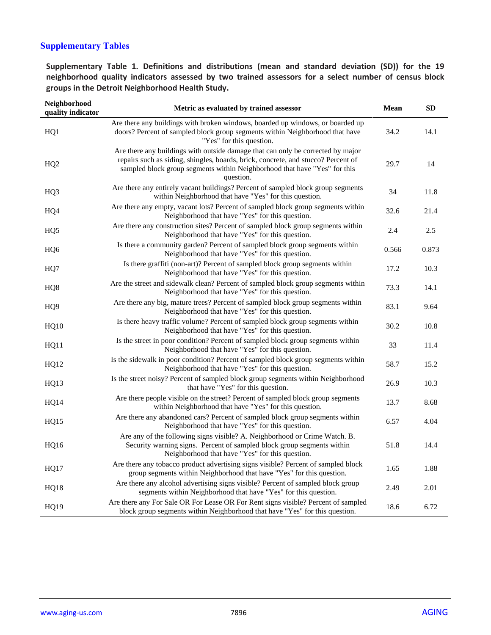# **Supplementary Tables**

**Supplementary Table 1. Definitions and distributions (mean and standard deviation (SD)) for the 19 neighborhood quality indicators assessed by two trained assessors for a select number of census block groups in the Detroit Neighborhood Health Study.**

| Neighborhood<br>quality indicator | Metric as evaluated by trained assessor                                                                                                                                                                                                                        | <b>Mean</b> | <b>SD</b> |
|-----------------------------------|----------------------------------------------------------------------------------------------------------------------------------------------------------------------------------------------------------------------------------------------------------------|-------------|-----------|
| HQ1                               | Are there any buildings with broken windows, boarded up windows, or boarded up<br>doors? Percent of sampled block group segments within Neighborhood that have<br>"Yes" for this question.                                                                     | 34.2        | 14.1      |
| HQ <sub>2</sub>                   | Are there any buildings with outside damage that can only be corrected by major<br>repairs such as siding, shingles, boards, brick, concrete, and stucco? Percent of<br>sampled block group segments within Neighborhood that have "Yes" for this<br>question. | 29.7        | 14        |
| HQ3                               | Are there any entirely vacant buildings? Percent of sampled block group segments<br>within Neighborhood that have "Yes" for this question.                                                                                                                     | 34          | 11.8      |
| HQ4                               | Are there any empty, vacant lots? Percent of sampled block group segments within<br>Neighborhood that have "Yes" for this question.                                                                                                                            | 32.6        | 21.4      |
| HQ <sub>5</sub>                   | Are there any construction sites? Percent of sampled block group segments within<br>Neighborhood that have "Yes" for this question.                                                                                                                            | 2.4         | 2.5       |
| HQ <sub>6</sub>                   | Is there a community garden? Percent of sampled block group segments within<br>Neighborhood that have "Yes" for this question.                                                                                                                                 | 0.566       | 0.873     |
| HQ7                               | Is there graffiti (non-art)? Percent of sampled block group segments within<br>Neighborhood that have "Yes" for this question.                                                                                                                                 | 17.2        | 10.3      |
| HQ8                               | Are the street and sidewalk clean? Percent of sampled block group segments within<br>Neighborhood that have "Yes" for this question.                                                                                                                           | 73.3        | 14.1      |
| HQ <sub>9</sub>                   | Are there any big, mature trees? Percent of sampled block group segments within<br>Neighborhood that have "Yes" for this question.                                                                                                                             | 83.1        | 9.64      |
| <b>HQ10</b>                       | Is there heavy traffic volume? Percent of sampled block group segments within<br>Neighborhood that have "Yes" for this question.                                                                                                                               | 30.2        | 10.8      |
| HQ11                              | Is the street in poor condition? Percent of sampled block group segments within<br>Neighborhood that have "Yes" for this question.                                                                                                                             | 33          | 11.4      |
| HQ12                              | Is the sidewalk in poor condition? Percent of sampled block group segments within<br>Neighborhood that have "Yes" for this question.                                                                                                                           | 58.7        | 15.2      |
| HQ13                              | Is the street noisy? Percent of sampled block group segments within Neighborhood<br>that have "Yes" for this question.                                                                                                                                         | 26.9        | 10.3      |
| <b>HQ14</b>                       | Are there people visible on the street? Percent of sampled block group segments<br>within Neighborhood that have "Yes" for this question.                                                                                                                      | 13.7        | 8.68      |
| HQ15                              | Are there any abandoned cars? Percent of sampled block group segments within<br>Neighborhood that have "Yes" for this question.                                                                                                                                | 6.57        | 4.04      |
| <b>HQ16</b>                       | Are any of the following signs visible? A. Neighborhood or Crime Watch. B.<br>Security warning signs. Percent of sampled block group segments within<br>Neighborhood that have "Yes" for this question.                                                        | 51.8        | 14.4      |
| HQ17                              | Are there any tobacco product advertising signs visible? Percent of sampled block<br>group segments within Neighborhood that have "Yes" for this question.                                                                                                     | 1.65        | 1.88      |
| <b>HQ18</b>                       | Are there any alcohol advertising signs visible? Percent of sampled block group<br>segments within Neighborhood that have "Yes" for this question.                                                                                                             | 2.49        | 2.01      |
| HQ19                              | Are there any For Sale OR For Lease OR For Rent signs visible? Percent of sampled<br>block group segments within Neighborhood that have "Yes" for this question.                                                                                               | 18.6        | 6.72      |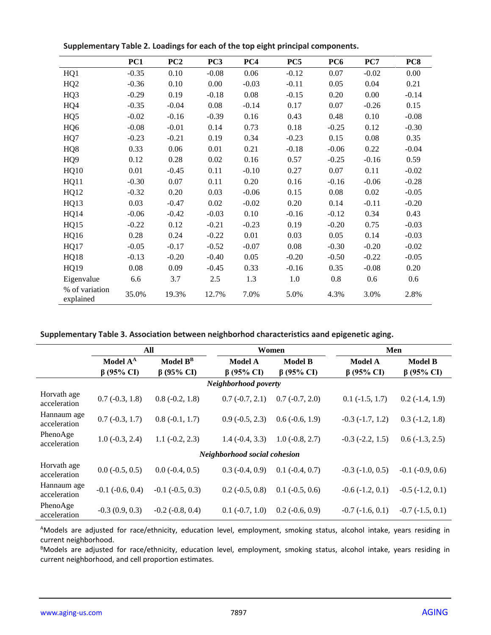|                             | PC1     | PC2     | PC <sub>3</sub> | PC4     | PC5     | PC <sub>6</sub> | PC7     | PC8     |
|-----------------------------|---------|---------|-----------------|---------|---------|-----------------|---------|---------|
| HQ1                         | $-0.35$ | 0.10    | $-0.08$         | 0.06    | $-0.12$ | 0.07            | $-0.02$ | 0.00    |
| HQ2                         | $-0.36$ | 0.10    | 0.00            | $-0.03$ | $-0.11$ | 0.05            | 0.04    | 0.21    |
| HQ3                         | $-0.29$ | 0.19    | $-0.18$         | 0.08    | $-0.15$ | 0.20            | 0.00    | $-0.14$ |
| HQ4                         | $-0.35$ | $-0.04$ | 0.08            | $-0.14$ | 0.17    | 0.07            | $-0.26$ | 0.15    |
| HQ <sub>5</sub>             | $-0.02$ | $-0.16$ | $-0.39$         | 0.16    | 0.43    | 0.48            | 0.10    | $-0.08$ |
| HQ <sub>6</sub>             | $-0.08$ | $-0.01$ | 0.14            | 0.73    | 0.18    | $-0.25$         | 0.12    | $-0.30$ |
| HQ7                         | $-0.23$ | $-0.21$ | 0.19            | 0.34    | $-0.23$ | 0.15            | 0.08    | 0.35    |
| HQ8                         | 0.33    | 0.06    | 0.01            | 0.21    | $-0.18$ | $-0.06$         | 0.22    | $-0.04$ |
| HQ <sub>9</sub>             | 0.12    | 0.28    | 0.02            | 0.16    | 0.57    | $-0.25$         | $-0.16$ | 0.59    |
| HQ10                        | 0.01    | $-0.45$ | 0.11            | $-0.10$ | 0.27    | 0.07            | 0.11    | $-0.02$ |
| <b>HQ11</b>                 | $-0.30$ | 0.07    | 0.11            | 0.20    | 0.16    | $-0.16$         | $-0.06$ | $-0.28$ |
| HQ12                        | $-0.32$ | 0.20    | 0.03            | $-0.06$ | 0.15    | 0.08            | 0.02    | $-0.05$ |
| HQ13                        | 0.03    | $-0.47$ | 0.02            | $-0.02$ | 0.20    | 0.14            | $-0.11$ | $-0.20$ |
| HQ14                        | $-0.06$ | $-0.42$ | $-0.03$         | 0.10    | $-0.16$ | $-0.12$         | 0.34    | 0.43    |
| <b>HQ15</b>                 | $-0.22$ | 0.12    | $-0.21$         | $-0.23$ | 0.19    | $-0.20$         | 0.75    | $-0.03$ |
| HQ16                        | 0.28    | 0.24    | $-0.22$         | 0.01    | 0.03    | 0.05            | 0.14    | $-0.03$ |
| HQ17                        | $-0.05$ | $-0.17$ | $-0.52$         | $-0.07$ | 0.08    | $-0.30$         | $-0.20$ | $-0.02$ |
| HQ18                        | $-0.13$ | $-0.20$ | $-0.40$         | 0.05    | $-0.20$ | $-0.50$         | $-0.22$ | $-0.05$ |
| HQ19                        | 0.08    | 0.09    | $-0.45$         | 0.33    | $-0.16$ | 0.35            | $-0.08$ | 0.20    |
| Eigenvalue                  | 6.6     | 3.7     | 2.5             | 1.3     | 1.0     | 0.8             | 0.6     | 0.6     |
| % of variation<br>explained | 35.0%   | 19.3%   | 12.7%           | 7.0%    | 5.0%    | 4.3%            | 3.0%    | 2.8%    |

**Supplementary Table 2. Loadings for each of the top eight principal components.**

**Supplementary Table 3. Association between neighborhod characteristics aand epigenetic aging.**

|                              | All                  |                        |                          | Women                    |                      | Men                  |  |  |
|------------------------------|----------------------|------------------------|--------------------------|--------------------------|----------------------|----------------------|--|--|
|                              | Model A <sup>A</sup> | Model $B^B$            | <b>Model A</b>           | <b>Model B</b>           | <b>Model A</b>       | <b>Model B</b>       |  |  |
|                              | $\beta$ (95% CI)     | $\beta$ (95% CI)       | $\beta$ (95% CI)         | $\beta$ (95% CI)         | $\beta$ (95% CI)     | $\beta$ (95% CI)     |  |  |
|                              |                      |                        | Neighborhood poverty     |                          |                      |                      |  |  |
| Horvath age<br>acceleration  | $0.7(-0.3, 1.8)$     | $0.8(-0.2, 1.8)$       | $0.7(-0.7, 2.1)$         | $0.7(-0.7, 2.0)$         | $0.1(-1.5, 1.7)$     | $0.2(-1.4, 1.9)$     |  |  |
| Hannaum age<br>acceleration  | $0.7(-0.3, 1.7)$     | $0.8(-0.1, 1.7)$       | $0.9(-0.5, 2.3)$         | $0.6(-0.6, 1.9)$         | $-0.3$ $(-1.7, 1.2)$ | $0.3(-1.2, 1.8)$     |  |  |
| PhenoAge<br>acceleration     | $1.0(-0.3, 2.4)$     | $1.1(-0.2, 2.3)$       | $1.4(-0.4, 3.3)$         | $1.0(-0.8, 2.7)$         | $-0.3$ $(-2.2, 1.5)$ | $0.6(-1.3, 2.5)$     |  |  |
| Neighborhood social cohesion |                      |                        |                          |                          |                      |                      |  |  |
| Horvath age<br>acceleration  | $0.0 (-0.5, 0.5)$    | $0.0(-0.4, 0.5)$       | $0.3$ (-0.4, 0.9)        | $0.1$ ( $-0.4$ , $0.7$ ) | $-0.3$ $(-1.0, 0.5)$ | $-0.1$ $(-0.9, 0.6)$ |  |  |
| Hannaum age<br>acceleration  | $-0.1$ $(-0.6, 0.4)$ | $-0.1$ $(-0.5, 0.3)$   | $0.2$ ( $-0.5$ , $0.8$ ) | $0.1$ ( $-0.5$ , $0.6$ ) | $-0.6(-1.2, 0.1)$    | $-0.5$ $(-1.2, 0.1)$ |  |  |
| PhenoAge<br>acceleration     | $-0.3(0.9, 0.3)$     | $-0.2$ ( $-0.8$ , 0.4) | $0.1$ ( $-0.7$ , $1.0$ ) | $0.2$ ( $-0.6$ , $0.9$ ) | $-0.7$ $(-1.6, 0.1)$ | $-0.7$ $(-1.5, 0.1)$ |  |  |

AModels are adjusted for race/ethnicity, education level, employment, smoking status, alcohol intake, years residing in current neighborhood.

BModels are adjusted for race/ethnicity, education level, employment, smoking status, alcohol intake, years residing in current neighborhood, and cell proportion estimates.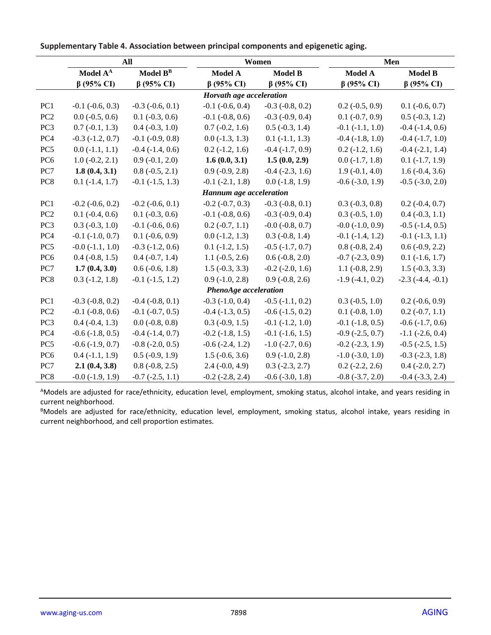|                          | All                      |                          |                           | Women                    | Men                      |                          |  |  |
|--------------------------|--------------------------|--------------------------|---------------------------|--------------------------|--------------------------|--------------------------|--|--|
|                          | Model A <sup>A</sup>     | Model $B^B$              | Model A<br><b>Model B</b> |                          | Model A                  | <b>Model B</b>           |  |  |
|                          | $\beta$ (95% CI)         | $\beta$ (95% CI)         | $\beta$ (95% CI)          | $\beta$ (95% CI)         | $\beta$ (95% CI)         | $\beta$ (95% CI)         |  |  |
| Horvath age acceleration |                          |                          |                           |                          |                          |                          |  |  |
| PC1                      | $-0.1$ $(-0.6, 0.3)$     | $-0.3$ $(-0.6, 0.1)$     | $-0.1$ $(-0.6, 0.4)$      | $-0.3$ $(-0.8, 0.2)$     | $0.2$ ( $-0.5$ , $0.9$ ) | $0.1$ ( $-0.6, 0.7$ )    |  |  |
| PC <sub>2</sub>          | $0.0$ ( $-0.5$ , $0.6$ ) | $0.1$ ( $-0.3$ , $0.6$ ) | $-0.1$ $(-0.8, 0.6)$      | $-0.3$ $(-0.9, 0.4)$     | $0.1 (-0.7, 0.9)$        | $0.5$ ( $-0.3$ , 1.2)    |  |  |
| PC <sub>3</sub>          | $0.7(-0.1, 1.3)$         | $0.4 (-0.3, 1.0)$        | $0.7(-0.2, 1.6)$          | $0.5$ ( $-0.3$ , 1.4)    | $-0.1$ $(-1.1, 1.0)$     | $-0.4$ $(-1.4, 0.6)$     |  |  |
| PC4                      | $-0.3$ $(-1.2, 0.7)$     | $-0.1$ $(-0.9, 0.8)$     | $0.0$ ( $-1.3$ , $1.3$ )  | $0.1(-1.1, 1.3)$         | $-0.4$ $(-1.8, 1.0)$     | $-0.4$ $(-1.7, 1.0)$     |  |  |
| PC <sub>5</sub>          | $0.0(-1.1, 1.1)$         | $-0.4$ $(-1.4, 0.6)$     | $0.2$ ( $-1.2$ , 1.6)     | $-0.4$ $(-1.7, 0.9)$     | $0.2$ ( $-1.2$ , 1.6)    | $-0.4$ $(-2.1, 1.4)$     |  |  |
| PC <sub>6</sub>          | $1.0(-0.2, 2.1)$         | $0.9(-0.1, 2.0)$         | 1.6(0.0, 3.1)             | 1.5(0.0, 2.9)            | $0.0 (-1.7, 1.8)$        | $0.1(-1.7, 1.9)$         |  |  |
| PC7                      | 1.8(0.4, 3.1)            | $0.8(-0.5, 2.1)$         | $0.9(-0.9, 2.8)$          | $-0.4$ $(-2.3, 1.6)$     | $1.9(-0.1, 4.0)$         | $1.6(-0.4, 3.6)$         |  |  |
| PC8                      | $0.1$ ( $-1.4$ , $1.7$ ) | $-0.1$ $(-1.5, 1.3)$     | $-0.1$ $(-2.1, 1.8)$      | $0.0$ ( $-1.8$ , 1.9)    | $-0.6$ $(-3.0, 1.9)$     | $-0.5$ $(-3.0, 2.0)$     |  |  |
|                          |                          |                          | Hannum age acceleration   |                          |                          |                          |  |  |
| PC1                      | $-0.2$ $(-0.6, 0.2)$     | $-0.2$ $(-0.6, 0.1)$     | $-0.2$ $(-0.7, 0.3)$      | $-0.3$ $(-0.8, 0.1)$     | $0.3 (-0.3, 0.8)$        | $0.2 (-0.4, 0.7)$        |  |  |
| PC <sub>2</sub>          | $0.1$ ( $-0.4$ , $0.6$ ) | $0.1$ ( $-0.3$ , $0.6$ ) | $-0.1$ $(-0.8, 0.6)$      | $-0.3$ $(-0.9, 0.4)$     | $0.3$ ( $-0.5$ , 1.0)    | $0.4 (-0.3, 1.1)$        |  |  |
| PC <sub>3</sub>          | $0.3$ ( $-0.3$ , $1.0$ ) | $-0.1$ $(-0.6, 0.6)$     | $0.2(-0.7, 1.1)$          | $-0.0$ $(-0.8, 0.7)$     | $-0.0$ $(-1.0, 0.9)$     | $-0.5$ $(-1.4, 0.5)$     |  |  |
| PC <sub>4</sub>          | $-0.1$ $(-1.0, 0.7)$     | $0.1$ ( $-0.6$ , $0.9$ ) | $0.0$ ( $-1.2$ , $1.3$ )  | $0.3$ ( $-0.8$ , 1.4)    | $-0.1$ $(-1.4, 1.2)$     | $-0.1$ $(-1.3, 1.1)$     |  |  |
| PC <sub>5</sub>          | $-0.0$ $(-1.1, 1.0)$     | $-0.3$ $(-1.2, 0.6)$     | $0.1$ ( $-1.2$ , $1.5$ )  | $-0.5$ $(-1.7, 0.7)$     | $0.8(-0.8, 2.4)$         | $0.6(-0.9, 2.2)$         |  |  |
| PC <sub>6</sub>          | $0.4$ ( $-0.8$ , 1.5)    | $0.4 (-0.7, 1.4)$        | $1.1 (-0.5, 2.6)$         | $0.6(-0.8, 2.0)$         | $-0.7$ $(-2.3, 0.9)$     | $0.1$ ( $-1.6$ , $1.7$ ) |  |  |
| PC7                      | 1.7(0.4, 3.0)            | $0.6$ ( $-0.6$ , 1.8)    | $1.5(-0.3, 3.3)$          | $-0.2$ $(-2.0, 1.6)$     | $1.1(-0.8, 2.9)$         | $1.5(-0.3, 3.3)$         |  |  |
| PC <sub>8</sub>          | $0.3$ ( $-1.2$ , $1.8$ ) | $-0.1$ $(-1.5, 1.2)$     | $0.9$ ( $-1.0$ , $2.8$ )  | $0.9(-0.8, 2.6)$         | $-1.9(-4.1, 0.2)$        | $-2.3$ $(-4.4, -0.1)$    |  |  |
| PhenoAge acceleration    |                          |                          |                           |                          |                          |                          |  |  |
| PC1                      | $-0.3$ $(-0.8, 0.2)$     | $-0.4$ $(-0.8, 0.1)$     | $-0.3$ $(-1.0, 0.4)$      | $-0.5$ $(-1.1, 0.2)$     | $0.3(-0.5, 1.0)$         | $0.2$ ( $-0.6$ , $0.9$ ) |  |  |
| PC <sub>2</sub>          | $-0.1$ $(-0.8, 0.6)$     | $-0.1$ $(-0.7, 0.5)$     | $-0.4$ $(-1.3, 0.5)$      | $-0.6$ $(-1.5, 0.2)$     | $0.1$ ( $-0.8$ , 1.0)    | $0.2(-0.7, 1.1)$         |  |  |
| PC3                      | $0.4 (-0.4, 1.3)$        | $0.0$ (-0.8, 0.8)        | $0.3$ ( $-0.9$ , 1.5)     | $-0.1$ $(-1.2, 1.0)$     | $-0.1$ $(-1.8, 0.5)$     | $-0.6$ $(-1.7, 0.6)$     |  |  |
| PC <sub>4</sub>          | $-0.6$ $(-1.8, 0.5)$     | $-0.4$ $(-1.4, 0.7)$     | $-0.2$ $(-1.8, 1.5)$      | $-0.1$ $(-1.6, 1.5)$     | $-0.9$ $(-2.5, 0.7)$     | $-1.1$ $(-2.6, 0.4)$     |  |  |
| PC <sub>5</sub>          | $-0.6$ $(-1.9, 0.7)$     | $-0.8$ $(-2.0, 0.5)$     | $-0.6$ $(-2.4, 1.2)$      | $-1.0$ ( $-2.7, 0.6$ )   | $-0.2$ $(-2.3, 1.9)$     | $-0.5$ $(-2.5, 1.5)$     |  |  |
| PC <sub>6</sub>          | $0.4$ ( $-1.1$ , $1.9$ ) | $0.5$ ( $-0.9$ , $1.9$ ) | $1.5(-0.6, 3.6)$          | $0.9(-1.0, 2.8)$         | $-1.0$ $(-3.0, 1.0)$     | $-0.3$ $(-2.3, 1.8)$     |  |  |
| PC7                      | 2.1(0.4, 3.8)            | $0.8(-0.8, 2.5)$         | $2.4 (-0.0, 4.9)$         | $0.3$ ( $-2.3$ , $2.7$ ) | $0.2$ ( $-2.2$ , 2.6)    | $0.4$ (-2.0, 2.7)        |  |  |
| PC8                      | $-0.0$ $(-1.9, 1.9)$     | $-0.7$ $(-2.5, 1.1)$     | $-0.2$ $(-2.8, 2.4)$      | $-0.6$ $(-3.0, 1.8)$     | $-0.8$ $(-3.7, 2.0)$     | $-0.4$ $(-3.3, 2.4)$     |  |  |

**Supplementary Table 4. Association between principal components and epigenetic aging.**

<sup>A</sup>Models are adjusted for race/ethnicity, education level, employment, smoking status, alcohol intake, and years residing in current neighborhood.

BModels are adjusted for race/ethnicity, education level, employment, smoking status, alcohol intake, years residing in current neighborhood, and cell proportion estimates.